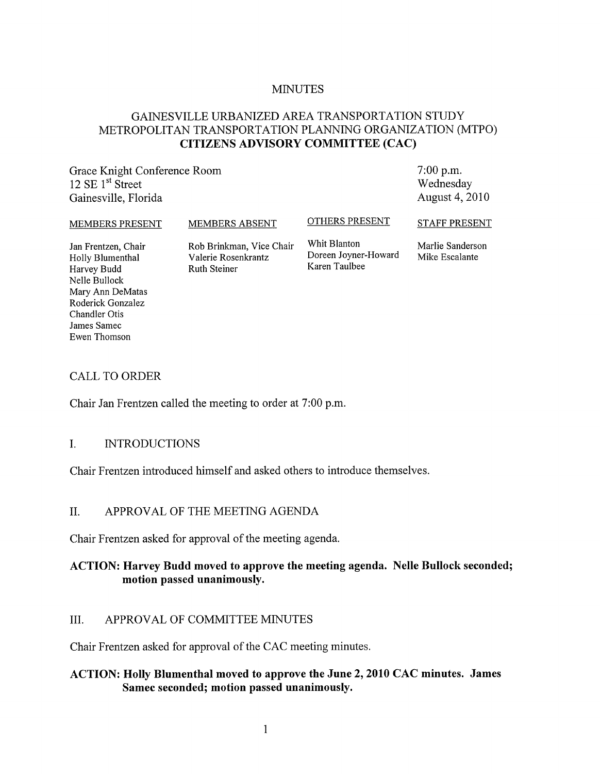## MINUTES

# GAINESVILLE URBANIZED AREA TRANSPORTATION STUDY METROPOLITAN TRANSPORTATION PLANNING ORGANIZATION (MTPO) CITIZENS ADVISORY COMMITTEE (CAC)

Grace Knight Conference Room  $12 \text{ SE } 1^{\text{st}}$  Street Gainesville, Florida

7:00 p.m. Wednesday August 4, 2010

MEMBERS PRESENT MEMBERS ABSENT OTHERS PRESENT STAFF PRESENT

Jan Frentzen, Chair Holly Blumenthal Harvey Budd Nelle Bullock Mary Ann DeMatas Roderick Gonzalez Chandler Otis James Samec Ewen Thomson

Rob Brinkman, Vice Chair Whit Blanton Marlie Sanderson<br>Valerie Rosenkrantz Doreen Joyner-Howard Mike Escalante Valerie Rosenkrantz Doreen Joyner-Howard Mike Escalante<br>Ruth Steiner Karen Taulbee Ruth Steiner

#### CALL TO ORDER

Chair Jan Frentzen called the meeting to order at 7:00 p.m.

### I. INTRODUCTIONS

Chair Frentzen introduced himself and asked others to introduce themselves.

## II. APPROVAL OF THE MEETING AGENDA

Chair Frentzen asked for approval of the meeting agenda.

## ACTION: Harvey Budd moved to approve the meeting agenda. Nelle Bullock seconded; motion passed unanimously.

# III. APPROVAL OF COMMITTEE MINUTES

Chair Frentzen asked for approval of the CAC meeting minutes.

## ACTION: Holly Blumenthal moved to approve the June 2, 2010 CAC minutes. James Samec seconded; motion passed unanimously.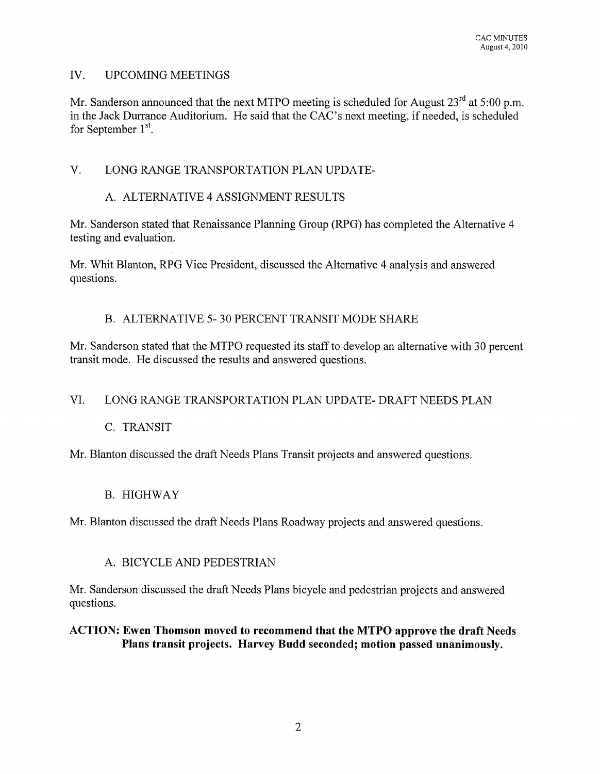# IV. UPCOMING MEETINGS

Mr. Sanderson announced that the next MTPO meeting is scheduled for August  $23^{rd}$  at 5:00 p.m. in the Jack Durrance Auditorium. He said that the CAC's next meeting, if needed, is scheduled for September 1<sup>st</sup>.

# V. LONG RANGE TRANSPORTATION PLAN UPDATE-

# A. ALTERNATIVE 4 ASSIGNMENT RESULTS

Mr. Sanderson stated that Renaissance Planning Group (RPG) has completed the Alternative 4 testing and evaluation.

Mr. Whit Blanton, RPG Vice President, discussed the Alternative 4 analysis and answered questions.

# B. ALTERNATIVE 5- 30 PERCENT TRANSIT MODE SHARE

Mr. Sanderson stated that the MTPO requested its staff to develop an alternative with 30 percent transit mode. He discussed the results and answered questions.

# VI. LONG RANGE TRANSPORTATION PLAN UPDATE- DRAFT NEEDS PLAN

# C. TRANSIT

Mr. Blanton discussed the draft Needs Plans Transit projects and answered questions.

# B. HIGHWAY

Mr. Blanton discussed the draft Needs Plans Roadway projects and answered questions.

# A. BICYCLE AND PEDESTRIAN

Mr. Sanderson discussed the draft Needs Plans bicycle and pedestrian projects and answered questions.

# **ACTION: Ewen Thomson moved to recommend that the MTPO approve the draft Needs Plans transit projects. Harvey Budd seconded; motion passed unanimously.**